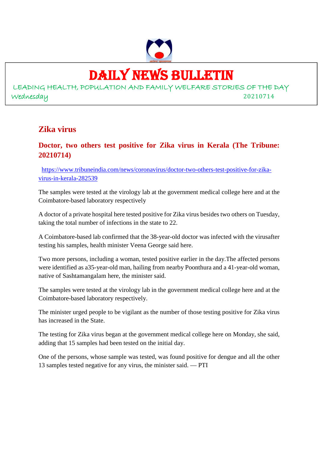

### DAILY NEWS BULLETIN

LEADING HEALTH, POPULATION AND FAMILY WELFARE STORIES OF THE DAY Wednesday 20210714

### **Zika virus**

### **Doctor, two others test positive for Zika virus in Kerala (The Tribune: 20210714)**

https://www.tribuneindia.com/news/coronavirus/doctor-two-others-test-positive-for-zikavirus-in-kerala-282539

The samples were tested at the virology lab at the government medical college here and at the Coimbatore-based laboratory respectively

A doctor of a private hospital here tested positive for Zika virus besides two others on Tuesday, taking the total number of infections in the state to 22.

A Coimbatore-based lab confirmed that the 38-year-old doctor was infected with the virusafter testing his samples, health minister Veena George said here.

Two more persons, including a woman, tested positive earlier in the day.The affected persons were identified as a35-year-old man, hailing from nearby Poonthura and a 41-year-old woman, native of Sashtamangalam here, the minister said.

The samples were tested at the virology lab in the government medical college here and at the Coimbatore-based laboratory respectively.

The minister urged people to be vigilant as the number of those testing positive for Zika virus has increased in the State.

The testing for Zika virus began at the government medical college here on Monday, she said, adding that 15 samples had been tested on the initial day.

One of the persons, whose sample was tested, was found positive for dengue and all the other 13 samples tested negative for any virus, the minister said. — PTI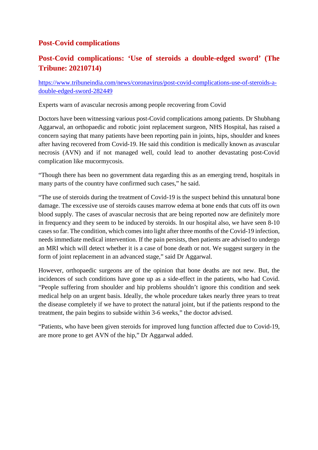### **Post-Covid complications**

### **Post-Covid complications: 'Use of steroids a double-edged sword' (The Tribune: 20210714)**

https://www.tribuneindia.com/news/coronavirus/post-covid-complications-use-of-steroids-adouble-edged-sword-282449

Experts warn of avascular necrosis among people recovering from Covid

Doctors have been witnessing various post-Covid complications among patients. Dr Shubhang Aggarwal, an orthopaedic and robotic joint replacement surgeon, NHS Hospital, has raised a concern saying that many patients have been reporting pain in joints, hips, shoulder and knees after having recovered from Covid-19. He said this condition is medically known as avascular necrosis (AVN) and if not managed well, could lead to another devastating post-Covid complication like mucormycosis.

"Though there has been no government data regarding this as an emerging trend, hospitals in many parts of the country have confirmed such cases," he said.

"The use of steroids during the treatment of Covid-19 is the suspect behind this unnatural bone damage. The excessive use of steroids causes marrow edema at bone ends that cuts off its own blood supply. The cases of avascular necrosis that are being reported now are definitely more in frequency and they seem to be induced by steroids. In our hospital also, we have seen 8-10 cases so far. The condition, which comes into light after three months of the Covid-19 infection, needs immediate medical intervention. If the pain persists, then patients are advised to undergo an MRI which will detect whether it is a case of bone death or not. We suggest surgery in the form of joint replacement in an advanced stage," said Dr Aggarwal.

However, orthopaedic surgeons are of the opinion that bone deaths are not new. But, the incidences of such conditions have gone up as a side-effect in the patients, who had Covid. "People suffering from shoulder and hip problems shouldn't ignore this condition and seek medical help on an urgent basis. Ideally, the whole procedure takes nearly three years to treat the disease completely if we have to protect the natural joint, but if the patients respond to the treatment, the pain begins to subside within 3-6 weeks," the doctor advised.

"Patients, who have been given steroids for improved lung function affected due to Covid-19, are more prone to get AVN of the hip," Dr Aggarwal added.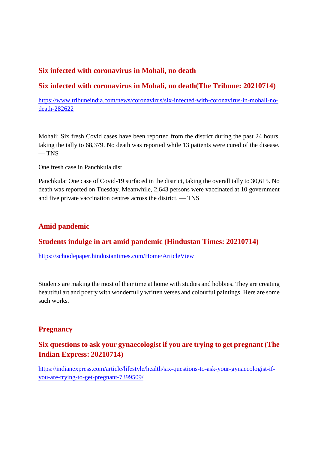### **Six infected with coronavirus in Mohali, no death**

### **Six infected with coronavirus in Mohali, no death(The Tribune: 20210714)**

https://www.tribuneindia.com/news/coronavirus/six-infected-with-coronavirus-in-mohali-nodeath-282622

Mohali: Six fresh Covid cases have been reported from the district during the past 24 hours, taking the tally to 68,379. No death was reported while 13 patients were cured of the disease.  $-$  TNS

One fresh case in Panchkula dist

Panchkula: One case of Covid-19 surfaced in the district, taking the overall tally to 30,615. No death was reported on Tuesday. Meanwhile, 2,643 persons were vaccinated at 10 government and five private vaccination centres across the district. — TNS

### **Amid pandemic**

### **Students indulge in art amid pandemic (Hindustan Times: 20210714)**

https://schoolepaper.hindustantimes.com/Home/ArticleView

Students are making the most of their time at home with studies and hobbies. They are creating beautiful art and poetry with wonderfully written verses and colourful paintings. Here are some such works.

### **Pregnancy**

### **Six questions to ask your gynaecologist if you are trying to get pregnant (The Indian Express: 20210714)**

https://indianexpress.com/article/lifestyle/health/six-questions-to-ask-your-gynaecologist-ifyou-are-trying-to-get-pregnant-7399509/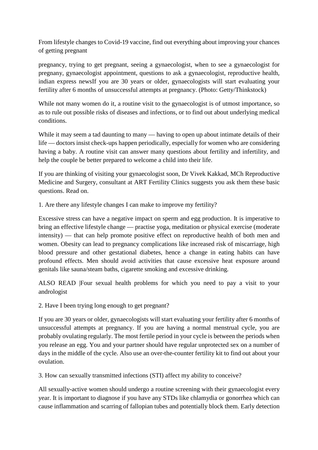From lifestyle changes to Covid-19 vaccine, find out everything about improving your chances of getting pregnant

pregnancy, trying to get pregnant, seeing a gynaecologist, when to see a gynaecologist for pregnany, gynaecologist appointment, questions to ask a gynaecologist, reproductive health, indian express newsIf you are 30 years or older, gynaecologists will start evaluating your fertility after 6 months of unsuccessful attempts at pregnancy. (Photo: Getty/Thinkstock)

While not many women do it, a routine visit to the gynaecologist is of utmost importance, so as to rule out possible risks of diseases and infections, or to find out about underlying medical conditions.

While it may seem a tad daunting to many — having to open up about intimate details of their life — doctors insist check-ups happen periodically, especially for women who are considering having a baby. A routine visit can answer many questions about fertility and infertility, and help the couple be better prepared to welcome a child into their life.

If you are thinking of visiting your gynaecologist soon, Dr Vivek Kakkad, MCh Reproductive Medicine and Surgery, consultant at ART Fertility Clinics suggests you ask them these basic questions. Read on.

1. Are there any lifestyle changes I can make to improve my fertility?

Excessive stress can have a negative impact on sperm and egg production. It is imperative to bring an effective lifestyle change — practise yoga, meditation or physical exercise (moderate intensity) — that can help promote positive effect on reproductive health of both men and women. Obesity can lead to pregnancy complications like increased risk of miscarriage, high blood pressure and other gestational diabetes, hence a change in eating habits can have profound effects. Men should avoid activities that cause excessive heat exposure around genitals like sauna/steam baths, cigarette smoking and excessive drinking.

ALSO READ |Four sexual health problems for which you need to pay a visit to your andrologist

2. Have I been trying long enough to get pregnant?

If you are 30 years or older, gynaecologists will start evaluating your fertility after 6 months of unsuccessful attempts at pregnancy. If you are having a normal menstrual cycle, you are probably ovulating regularly. The most fertile period in your cycle is between the periods when you release an egg. You and your partner should have regular unprotected sex on a number of days in the middle of the cycle. Also use an over-the-counter fertility kit to find out about your ovulation.

3. How can sexually transmitted infections (STI) affect my ability to conceive?

All sexually-active women should undergo a routine screening with their gynaecologist every year. It is important to diagnose if you have any STDs like chlamydia or gonorrhea which can cause inflammation and scarring of fallopian tubes and potentially block them. Early detection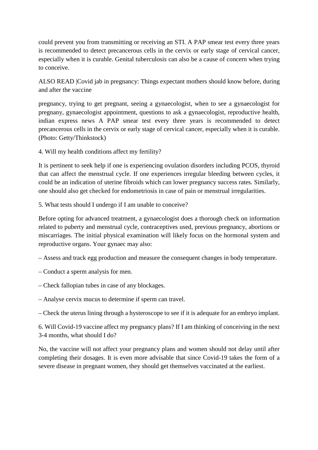could prevent you from transmitting or receiving an STI. A PAP smear test every three years is recommended to detect precancerous cells in the cervix or early stage of cervical cancer, especially when it is curable. Genital tuberculosis can also be a cause of concern when trying to conceive.

ALSO READ |Covid jab in pregnancy: Things expectant mothers should know before, during and after the vaccine

pregnancy, trying to get pregnant, seeing a gynaecologist, when to see a gynaecologist for pregnany, gynaecologist appointment, questions to ask a gynaecologist, reproductive health, indian express news A PAP smear test every three years is recommended to detect precancerous cells in the cervix or early stage of cervical cancer, especially when it is curable. (Photo: Getty/Thinkstock)

4. Will my health conditions affect my fertility?

It is pertinent to seek help if one is experiencing ovulation disorders including PCOS, thyroid that can affect the menstrual cycle. If one experiences irregular bleeding between cycles, it could be an indication of uterine fibroids which can lower pregnancy success rates. Similarly, one should also get checked for endometriosis in case of pain or menstrual irregularities.

5. What tests should I undergo if I am unable to conceive?

Before opting for advanced treatment, a gynaecologist does a thorough check on information related to puberty and menstrual cycle, contraceptives used, previous pregnancy, abortions or miscarriages. The initial physical examination will likely focus on the hormonal system and reproductive organs. Your gynaec may also:

– Assess and track egg production and measure the consequent changes in body temperature.

- Conduct a sperm analysis for men.
- Check fallopian tubes in case of any blockages.
- Analyse cervix mucus to determine if sperm can travel.

– Check the uterus lining through a hysteroscope to see if it is adequate for an embryo implant.

6. Will Covid-19 vaccine affect my pregnancy plans? If I am thinking of conceiving in the next 3-4 months, what should I do?

No, the vaccine will not affect your pregnancy plans and women should not delay until after completing their dosages. It is even more advisable that since Covid-19 takes the form of a severe disease in pregnant women, they should get themselves vaccinated at the earliest.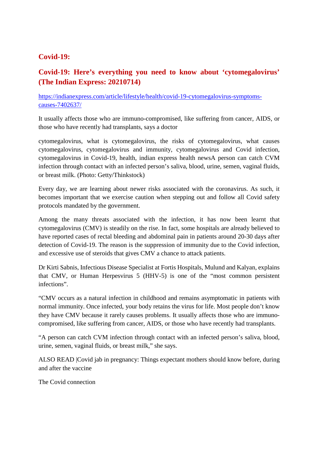### **Covid-19:**

### **Covid-19: Here's everything you need to know about 'cytomegalovirus' (The Indian Express: 20210714)**

https://indianexpress.com/article/lifestyle/health/covid-19-cytomegalovirus-symptomscauses-7402637/

It usually affects those who are immuno-compromised, like suffering from cancer, AIDS, or those who have recently had transplants, says a doctor

cytomegalovirus, what is cytomegalovirus, the risks of cytomegalovirus, what causes cytomegalovirus, cytomegalovirus and immunity, cytomegalovirus and Covid infection, cytomegalovirus in Covid-19, health, indian express health newsA person can catch CVM infection through contact with an infected person's saliva, blood, urine, semen, vaginal fluids, or breast milk. (Photo: Getty/Thinkstock)

Every day, we are learning about newer risks associated with the coronavirus. As such, it becomes important that we exercise caution when stepping out and follow all Covid safety protocols mandated by the government.

Among the many threats associated with the infection, it has now been learnt that cytomegalovirus (CMV) is steadily on the rise. In fact, some hospitals are already believed to have reported cases of rectal bleeding and abdominal pain in patients around 20-30 days after detection of Covid-19. The reason is the suppression of immunity due to the Covid infection, and excessive use of steroids that gives CMV a chance to attack patients.

Dr Kirti Sabnis, Infectious Disease Specialist at Fortis Hospitals, Mulund and Kalyan, explains that CMV, or Human Herpesvirus 5 (HHV-5) is one of the "most common persistent infections".

"CMV occurs as a natural infection in childhood and remains asymptomatic in patients with normal immunity. Once infected, your body retains the virus for life. Most people don't know they have CMV because it rarely causes problems. It usually affects those who are immunocompromised, like suffering from cancer, AIDS, or those who have recently had transplants.

"A person can catch CVM infection through contact with an infected person's saliva, blood, urine, semen, vaginal fluids, or breast milk," she says.

ALSO READ |Covid jab in pregnancy: Things expectant mothers should know before, during and after the vaccine

The Covid connection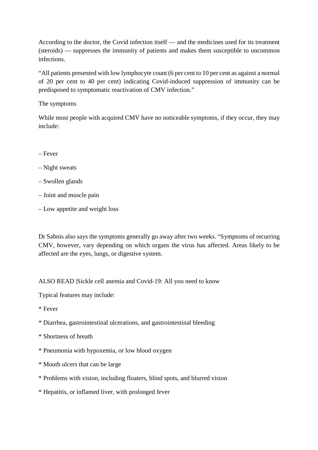According to the doctor, the Covid infection itself — and the medicines used for its treatment (steroids) — suppresses the immunity of patients and makes them susceptible to uncommon infections.

"All patients presented with low lymphocyte count (6 per cent to 10 per cent as against a normal of 20 per cent to 40 per cent) indicating Covid-induced suppression of immunity can be predisposed to symptomatic reactivation of CMV infection."

#### The symptoms

While most people with acquired CMV have no noticeable symptoms, if they occur, they may include:

- Fever
- Night sweats
- Swollen glands
- Joint and muscle pain
- Low appetite and weight loss

Dr Sabnis also says the symptoms generally go away after two weeks. "Symptoms of recurring CMV, however, vary depending on which organs the virus has affected. Areas likely to be affected are the eyes, lungs, or digestive system.

ALSO READ |Sickle cell anemia and Covid-19: All you need to know

Typical features may include:

- \* Fever
- \* Diarrhea, gastrointestinal ulcerations, and gastrointestinal bleeding
- \* Shortness of breath
- \* Pneumonia with hypoxemia, or low blood oxygen
- \* Mouth ulcers that can be large
- \* Problems with vision, including floaters, blind spots, and blurred vision
- \* Hepatitis, or inflamed liver, with prolonged fever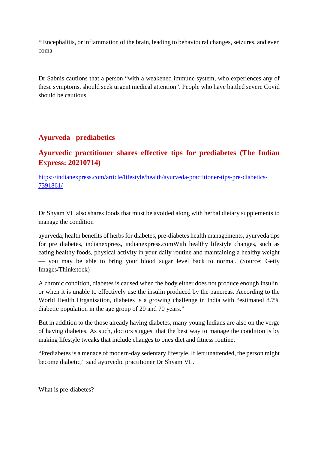\* Encephalitis, or inflammation of the brain, leading to behavioural changes, seizures, and even coma

Dr Sabnis cautions that a person "with a weakened immune system, who experiences any of these symptoms, should seek urgent medical attention". People who have battled severe Covid should be cautious.

### **Ayurveda - prediabetics**

### **Ayurvedic practitioner shares effective tips for prediabetes (The Indian Express: 20210714)**

https://indianexpress.com/article/lifestyle/health/ayurveda-practitioner-tips-pre-diabetics-7391861/

Dr Shyam VL also shares foods that must be avoided along with herbal dietary supplements to manage the condition

ayurveda, health benefits of herbs for diabetes, pre-diabetes health managements, ayurveda tips for pre diabetes, indianexpress, indianexpress.comWith healthy lifestyle changes, such as eating healthy foods, physical activity in your daily routine and maintaining a healthy weight — you may be able to bring your blood sugar level back to normal. (Source: Getty Images/Thinkstock)

A chronic condition, diabetes is caused when the body either does not produce enough insulin, or when it is unable to effectively use the insulin produced by the pancreas. According to the World Health Organisation, diabetes is a growing challenge in India with "estimated 8.7% diabetic population in the age group of 20 and 70 years."

But in addition to the those already having diabetes, many young Indians are also on the verge of having diabetes. As such, doctors suggest that the best way to manage the condition is by making lifestyle tweaks that include changes to ones diet and fitness routine.

"Prediabetes is a menace of modern-day sedentary lifestyle. If left unattended, the person might become diabetic," said ayurvedic practitioner Dr Shyam VL.

What is pre-diabetes?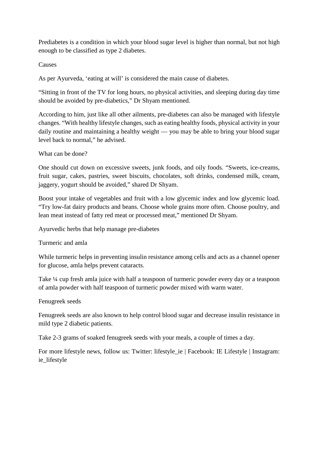Prediabetes is a condition in which your blood sugar level is higher than normal, but not high enough to be classified as type 2 diabetes.

#### **Causes**

As per Ayurveda, 'eating at will' is considered the main cause of diabetes.

"Sitting in front of the TV for long hours, no physical activities, and sleeping during day time should be avoided by pre-diabetics," Dr Shyam mentioned.

According to him, just like all other ailments, pre-diabetes can also be managed with lifestyle changes. "With healthy lifestyle changes, such as eating healthy foods, physical activity in your daily routine and maintaining a healthy weight — you may be able to bring your blood sugar level back to normal," he advised.

What can be done?

One should cut down on excessive sweets, junk foods, and oily foods. "Sweets, ice-creams, fruit sugar, cakes, pastries, sweet biscuits, chocolates, soft drinks, condensed milk, cream, jaggery, yogurt should be avoided," shared Dr Shyam.

Boost your intake of vegetables and fruit with a low glycemic index and low glycemic load. "Try low-fat dairy products and beans. Choose whole grains more often. Choose poultry, and lean meat instead of fatty red meat or processed meat," mentioned Dr Shyam.

Ayurvedic herbs that help manage pre-diabetes

Turmeric and amla

While turmeric helps in preventing insulin resistance among cells and acts as a channel opener for glucose, amla helps prevent cataracts.

Take ¼ cup fresh amla juice with half a teaspoon of turmeric powder every day or a teaspoon of amla powder with half teaspoon of turmeric powder mixed with warm water.

Fenugreek seeds

Fenugreek seeds are also known to help control blood sugar and decrease insulin resistance in mild type 2 diabetic patients.

Take 2-3 grams of soaked fenugreek seeds with your meals, a couple of times a day.

For more lifestyle news, follow us: Twitter: lifestyle\_ie | Facebook: IE Lifestyle | Instagram: ie lifestyle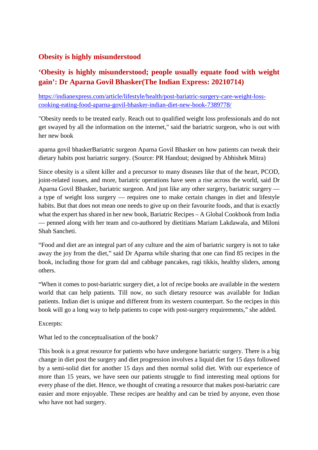### **Obesity is highly misunderstood**

### **'Obesity is highly misunderstood; people usually equate food with weight gain': Dr Aparna Govil Bhasker(The Indian Express: 20210714)**

https://indianexpress.com/article/lifestyle/health/post-bariatric-surgery-care-weight-losscooking-eating-food-aparna-govil-bhasker-indian-diet-new-book-7389778/

"Obesity needs to be treated early. Reach out to qualified weight loss professionals and do not get swayed by all the information on the internet," said the bariatric surgeon, who is out with her new book

aparna govil bhaskerBariatric surgeon Aparna Govil Bhasker on how patients can tweak their dietary habits post bariatric surgery. (Source: PR Handout; designed by Abhishek Mitra)

Since obesity is a silent killer and a precursor to many diseases like that of the heart, PCOD, joint-related issues, and more, bariatric operations have seen a rise across the world, said Dr Aparna Govil Bhasker, bariatric surgeon. And just like any other surgery, bariatric surgery a type of weight loss surgery — requires one to make certain changes in diet and lifestyle habits. But that does not mean one needs to give up on their favourite foods, and that is exactly what the expert has shared in her new book, Bariatric Recipes – A Global Cookbook from India — penned along with her team and co-authored by dietitians Mariam Lakdawala, and Miloni Shah Sancheti.

"Food and diet are an integral part of any culture and the aim of bariatric surgery is not to take away the joy from the diet," said Dr Aparna while sharing that one can find 85 recipes in the book, including those for gram dal and cabbage pancakes, ragi tikkis, healthy sliders, among others.

"When it comes to post-bariatric surgery diet, a lot of recipe books are available in the western world that can help patients. Till now, no such dietary resource was available for Indian patients. Indian diet is unique and different from its western counterpart. So the recipes in this book will go a long way to help patients to cope with post-surgery requirements," she added.

Excerpts:

What led to the conceptualisation of the book?

This book is a great resource for patients who have undergone bariatric surgery. There is a big change in diet post the surgery and diet progression involves a liquid diet for 15 days followed by a semi-solid diet for another 15 days and then normal solid diet. With our experience of more than 15 years, we have seen our patients struggle to find interesting meal options for every phase of the diet. Hence, we thought of creating a resource that makes post-bariatric care easier and more enjoyable. These recipes are healthy and can be tried by anyone, even those who have not had surgery.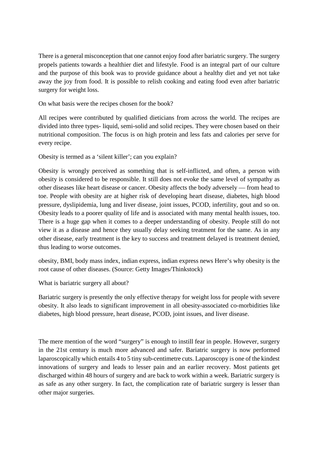There is a general misconception that one cannot enjoy food after bariatric surgery. The surgery propels patients towards a healthier diet and lifestyle. Food is an integral part of our culture and the purpose of this book was to provide guidance about a healthy diet and yet not take away the joy from food. It is possible to relish cooking and eating food even after bariatric surgery for weight loss.

On what basis were the recipes chosen for the book?

All recipes were contributed by qualified dieticians from across the world. The recipes are divided into three types- liquid, semi-solid and solid recipes. They were chosen based on their nutritional composition. The focus is on high protein and less fats and calories per serve for every recipe.

Obesity is termed as a 'silent killer'; can you explain?

Obesity is wrongly perceived as something that is self-inflicted, and often, a person with obesity is considered to be responsible. It still does not evoke the same level of sympathy as other diseases like heart disease or cancer. Obesity affects the body adversely — from head to toe. People with obesity are at higher risk of developing heart disease, diabetes, high blood pressure, dyslipidemia, lung and liver disease, joint issues, PCOD, infertility, gout and so on. Obesity leads to a poorer quality of life and is associated with many mental health issues, too. There is a huge gap when it comes to a deeper understanding of obesity. People still do not view it as a disease and hence they usually delay seeking treatment for the same. As in any other disease, early treatment is the key to success and treatment delayed is treatment denied, thus leading to worse outcomes.

obesity, BMI, body mass index, indian express, indian express news Here's why obesity is the root cause of other diseases. (Source: Getty Images/Thinkstock)

What is bariatric surgery all about?

Bariatric surgery is presently the only effective therapy for weight loss for people with severe obesity. It also leads to significant improvement in all obesity-associated co-morbidities like diabetes, high blood pressure, heart disease, PCOD, joint issues, and liver disease.

The mere mention of the word "surgery" is enough to instill fear in people. However, surgery in the 21st century is much more advanced and safer. Bariatric surgery is now performed laparoscopically which entails 4 to 5 tiny sub-centimetre cuts. Laparoscopy is one of the kindest innovations of surgery and leads to lesser pain and an earlier recovery. Most patients get discharged within 48 hours of surgery and are back to work within a week. Bariatric surgery is as safe as any other surgery. In fact, the complication rate of bariatric surgery is lesser than other major surgeries.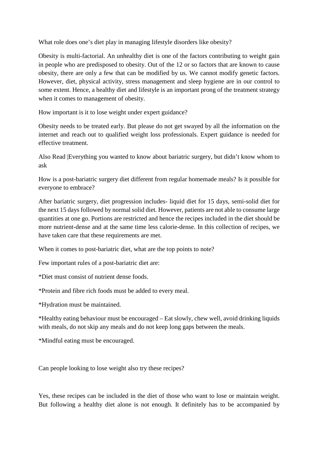What role does one's diet play in managing lifestyle disorders like obesity?

Obesity is multi-factorial. An unhealthy diet is one of the factors contributing to weight gain in people who are predisposed to obesity. Out of the 12 or so factors that are known to cause obesity, there are only a few that can be modified by us. We cannot modify genetic factors. However, diet, physical activity, stress management and sleep hygiene are in our control to some extent. Hence, a healthy diet and lifestyle is an important prong of the treatment strategy when it comes to management of obesity.

How important is it to lose weight under expert guidance?

Obesity needs to be treated early. But please do not get swayed by all the information on the internet and reach out to qualified weight loss professionals. Expert guidance is needed for effective treatment.

Also Read |Everything you wanted to know about bariatric surgery, but didn't know whom to ask

How is a post-bariatric surgery diet different from regular homemade meals? Is it possible for everyone to embrace?

After bariatric surgery, diet progression includes- liquid diet for 15 days, semi-solid diet for the next 15 days followed by normal solid diet. However, patients are not able to consume large quantities at one go. Portions are restricted and hence the recipes included in the diet should be more nutrient-dense and at the same time less calorie-dense. In this collection of recipes, we have taken care that these requirements are met.

When it comes to post-bariatric diet, what are the top points to note?

Few important rules of a post-bariatric diet are:

\*Diet must consist of nutrient dense foods.

\*Protein and fibre rich foods must be added to every meal.

\*Hydration must be maintained.

\*Healthy eating behaviour must be encouraged – Eat slowly, chew well, avoid drinking liquids with meals, do not skip any meals and do not keep long gaps between the meals.

\*Mindful eating must be encouraged.

Can people looking to lose weight also try these recipes?

Yes, these recipes can be included in the diet of those who want to lose or maintain weight. But following a healthy diet alone is not enough. It definitely has to be accompanied by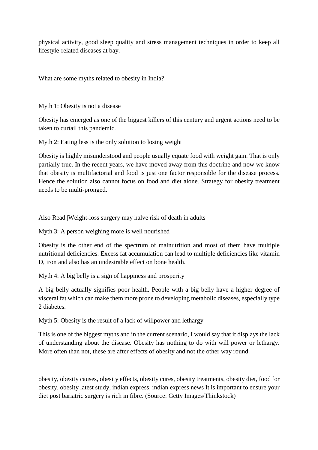physical activity, good sleep quality and stress management techniques in order to keep all lifestyle-related diseases at bay.

What are some myths related to obesity in India?

Myth 1: Obesity is not a disease

Obesity has emerged as one of the biggest killers of this century and urgent actions need to be taken to curtail this pandemic.

Myth 2: Eating less is the only solution to losing weight

Obesity is highly misunderstood and people usually equate food with weight gain. That is only partially true. In the recent years, we have moved away from this doctrine and now we know that obesity is multifactorial and food is just one factor responsible for the disease process. Hence the solution also cannot focus on food and diet alone. Strategy for obesity treatment needs to be multi-pronged.

Also Read |Weight-loss surgery may halve risk of death in adults

Myth 3: A person weighing more is well nourished

Obesity is the other end of the spectrum of malnutrition and most of them have multiple nutritional deficiencies. Excess fat accumulation can lead to multiple deficiencies like vitamin D, iron and also has an undesirable effect on bone health.

Myth 4: A big belly is a sign of happiness and prosperity

A big belly actually signifies poor health. People with a big belly have a higher degree of visceral fat which can make them more prone to developing metabolic diseases, especially type 2 diabetes.

Myth 5: Obesity is the result of a lack of willpower and lethargy

This is one of the biggest myths and in the current scenario, I would say that it displays the lack of understanding about the disease. Obesity has nothing to do with will power or lethargy. More often than not, these are after effects of obesity and not the other way round.

obesity, obesity causes, obesity effects, obesity cures, obesity treatments, obesity diet, food for obesity, obesity latest study, indian express, indian express news It is important to ensure your diet post bariatric surgery is rich in fibre. (Source: Getty Images/Thinkstock)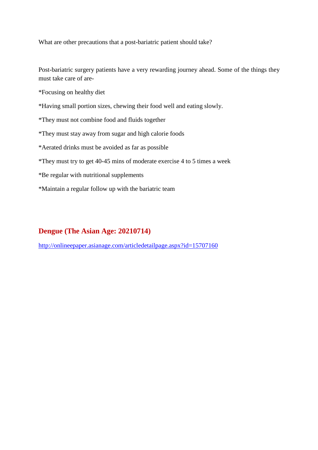What are other precautions that a post-bariatric patient should take?

Post-bariatric surgery patients have a very rewarding journey ahead. Some of the things they must take care of are-

\*Focusing on healthy diet

- \*Having small portion sizes, chewing their food well and eating slowly.
- \*They must not combine food and fluids together
- \*They must stay away from sugar and high calorie foods

\*Aerated drinks must be avoided as far as possible

- \*They must try to get 40-45 mins of moderate exercise 4 to 5 times a week
- \*Be regular with nutritional supplements
- \*Maintain a regular follow up with the bariatric team

### **Dengue (The Asian Age: 20210714)**

http://onlineepaper.asianage.com/articledetailpage.aspx?id=15707160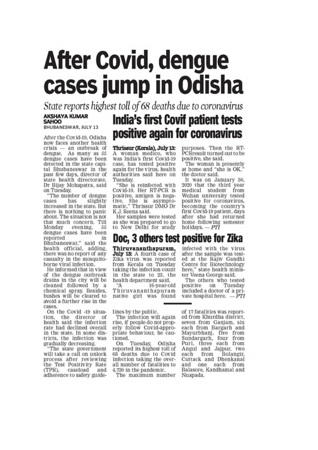# **After Covid, dengue** cases jump in Odisha

State reports highest toll of 68 deaths due to coronavirus

#### **AKSHAYA KUMAR SAHOO**

**BHUBANESWAR, JULY 13** 

After the Covid-19, Odisha now faces another health  $crisis = an outbreak of$ dengue. As many as 55 dengue cases have been detected in the state capital Bhubaneswar in the past few days, director of state health directorate. Dr Bijay Mohapatra, said on Tuesday.

"The number of dengue slightly cases has increased in the state. But there is nothing to panic about. The situation is not that much concern. Till Monday evening. 55 dengue cases have been reported in Bhubaneswar," said the<br>health official, adding, there was no report of any casualty in the mosquitoborne viral infection.

He informed that in view of the dengue outbreak drains in the city will be cleaned followed by a chemical spray. Besides, bushes will be cleared to avoid a further rise in the cases.

On the Covid -19 situation, the director of health said the infection rate had declined overall in the state. In some districts, the infection was gradually decreasing.

"The state government will take a call on unlock process after reviewing the Test Positivity Rate (TPR), caseload and adherence to safety guide-

## **India's first Covif patient tests** positive again for coronavirus

Thrissur (Kerala), July 13: A woman medico, who was India's first Covid-19 case, has tested positive again for the virus, health authorities said here on Tuesday.

"She is reinfected with Covid-19. Her RT-PCR is positive, antigen is negative. She is asymptomatic," Thrissur DMO Dr K.J. Reena said.

Her samples were tested as she was prepared to go to New Delhi for study

purposes. Then the RT-PCRresult turned out to be positive, she said.

The woman is presently at home and "she is OK." the doctor said.

It was on January 30. 2020 that the third year medical student from Wuhan university tested positive for coronavirus, becoming the country's first Covid-19 patient, days after she had returned home following semester<br>holidays.  $- PTI$ 

### Doc, 3 others test positive for Zika

Thiruvananthapuram, July 13: A fourth case of Zika virus was reported from Kerala on Tuesday taking the infection count in the state to 23, the health department said.

16-year-old Thiruvananthapuram native girl was found

lines by the public.

The infection will again rise, if people do not properly follow Covid-appropriate behaviour, he cautioned.

Tuesday, Odisha On reported its highest toll of 68 deaths due to Covid infection taking the overall number of fatalities to 4,730 in the pandemic.

The maximum number

infected with the virus after the sample was tested at the Rajiv Gandhi Centre for Biotechnology here," state health minis-<br>ter Veena George said.

The others who tested on positive Tuesday included a doctor of a private hospital here. - PTI

of 17 fatalities was reported from Khurdha district. seven from Ganjam, six each from Bargarh and Mayurbhanj, five from<br>Sundargarh, four from Puri, three each from Angul and Jajpur, two each from Bolangir. Cuttack and Dhenkanal and one each from Balasore, Kandhamal and Nuapada.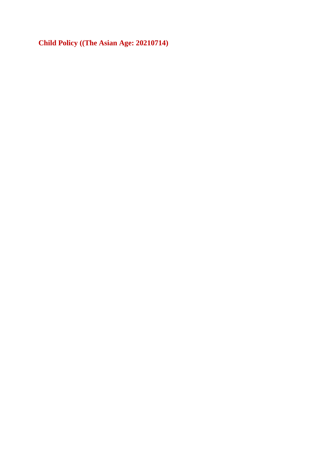**Child Policy ((The Asian Age: 20210714)**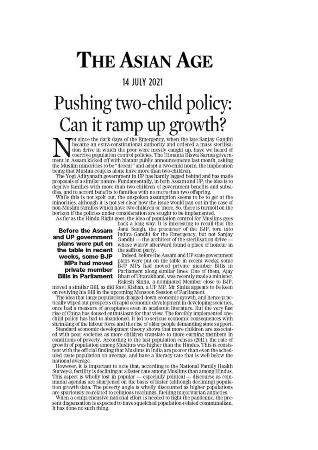# **THE ASIAN AGE**

### **14 JULY 2021**

# Pushing two-child policy: Can it ramp up growth?

ot since the dark days of the Emergency, when the late Sanjay Gandhi became an extra-constitutional authority and ordered a mass sterilisation drive in which the poor were mostly caught up, have we heard of coercive population control policies. The Himanta Biswa Sarma government in Assam kicked off with blatant public announcements last month, asking the Muslim minorities to be "decent" and adopt a two-child norm, the implication being that Muslim couples alone have more than two-children.

The Yogi Adityanath government in UP has hardly lagged behind and has made proposals of a similar nature. Fundamentally, in both Assam and UP, the idea is to deprive families with more than two children of government benefits and subsidies, and to accord benefits to families with no more than two offspring.

While this is not spelt out, the unspoken assumption seems to be to get at the minorities, although it is not yet clear how the issue would pan out in the case of non-Muslim families which have two children or more. So, there is turmoil on the horizon if the policies under consideration are sought to be implemented.

As far as the Hindu Right goes, the idea of population control for Muslims goes

Before the Assam and UP government plans were put on the table in recent weeks, some BJP **MPs had moved** private member **Bills in Parliament** 

back a long way. It is interesting to recall that the Jana Sangh, the precursor of the BJP, tore into Indira Gandhi for the Emergency, but not Sanjay Gandhi $-$  the architect of the sterilisation drive  $$ whose widow afterward found a place of honour in the saffron party.

Indeed, before the Assam and UP state government plans were put on the table in recent weeks, some<br>BJP MPs had moved private member Bills in Parliament along similar lines, One of them, Ajay Bhatt of Uttarakhand, was recently made a minister. Rakesh Sinha, a nominated Member close to BJP,

moved a similar Bill, as did Ravi Kishan, a UP MP. Mr Sinha appears to be keen on reviving his Bill in the upcoming Monsoon Session of Parliament.

The idea that large populations dragged down economic growth, and hence practically wiped out prospects of rapid economic development in developing societies, once had a measure of acceptance even in academic literature. But the very fast rise of China has doused enthusiasm for that view. The forcibly implemented onechild policy has had to abandoned. It led to serious economic consequences with shrinking of the labour force and the rise of older people demanding state support.

Standard economic development theory shows that more children are associated with poor societies as more children translate to more earning members in conditions of poverty. According to the last population census (2011), the rate of growth of population among Muslims was higher than the Hindus. This is consistent with the official finding that Muslims in India are poorer than even the scheduled caste population on average, and have a literacy rate that is well below the national average.

However, it is important to note that, according to the National Family Health Survey-3, fertility is declining at a faster rate among Muslims than among Hindus. This aspect is wholly lost in popular - especially political - discourse as communal agendas are sharpened on the basis of faster (although declining) population growth data. The poverty angle is wholly discounted as higher populations are spuriously co-related to religious teachings, fuelling majoritarian anxieties.

When a comprehensive national effort is needed to fight the pandemic, the present dispensation is expected to have squelched population-related communalism. It has done no such thing.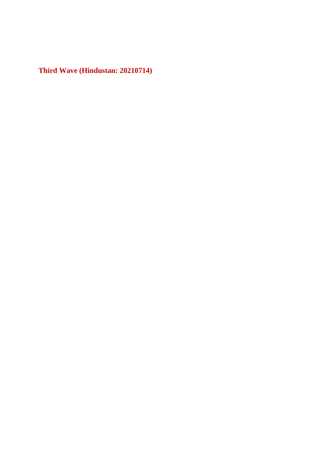**Third Wave (Hindustan: 20210714)**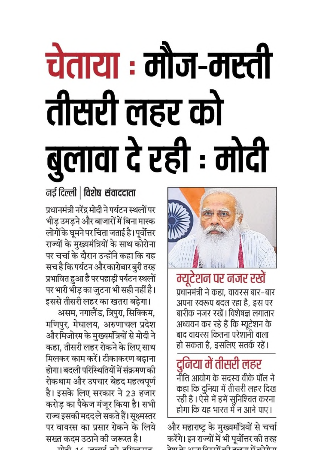# चेताया : मौज-मस्ती तीसरी लहर को बुलावा दे रही : मोदी



म्यूटेशन पर नजर रखें प्रधानमंत्री ने कहा, वायरस बार–बार अपना स्वरूप बदल रहा है, इस पर बारीक नजर रखें। विशेषज्ञ लगातार अध्ययन कर रहे हैं कि म्यूटेशन के बाद वायरस कितना परेशांनी वाला हो सकता है, इसलिए सतर्क रहें।

दुनिया में तीसरी लहर नीति आयोग के सदस्य वीके पॉल ने कहा कि दुनिया में तीसरी लहर दिख रही है । ऐसे में हमें सुनिश्चित करना

होगा कि यह भारत मेँ न आने पाए। और महाराष्ट्र के मुख्यमंत्रियों से चर्चा करेंगे। इन राज्यों में भी पूर्वोत्तर की तरह नेल के अच्छ जिल्लें जी करता में जो मे स

### नई दिल्ली | विशेष संवाददाता

प्रधानमंत्री नरेंद्र मोदी ने पर्यटन स्थलों पर भीड़ उमड़ने और बाजारों में बिना मास्क लोगों के घूमने पर चिंता जताई है। पूर्वोत्तर राज्यों के मुख्यमंत्रियों के साथ कोरोना पर चर्चा के दौरान उन्होंने कहा कि यह सच है कि पर्यटन और कारोबार बुरी तरह प्रभावित हुआ है पर पहाड़ी पर्यटन स्थलों पर भारी भीड़ का जुटना भी सही नहीं है।

इससे तीसरी लहर का खतरा बढ़ेगा। असम, नगालैंड, त्रिपुरा, सिक्किम, मणिपुर, मेघालय, अरुणाचल प्रदेश औरमिजोरम के मुख्यमंत्रियों से मोदी ने कहा, तीसरी लहर रोकने के लिए साथ मिलकर काम करें। टीकाकरण बढ़ाना होगा। बदली परिस्थितियों में संक्रमण की रोकथाम और उपचार बेहद महत्वपूर्ण है। इसके लिए सरकार ने 23 हजार करोड़ का पैकेज मंजूर किया है। सभी राज्य इसकी मददले सकते हैं। सूक्ष्मस्तर पर वायरस का प्रसार रोकने के लिये सख्त कदम उठाने की जरूरत है।

 $m\pi$   $\rightarrow$   $\rightarrow$   $m\pi$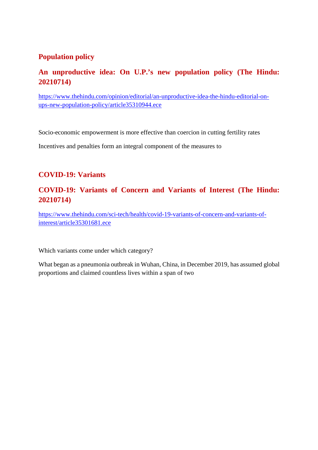### **Population policy**

### **An unproductive idea: On U.P.'s new population policy (The Hindu: 20210714)**

https://www.thehindu.com/opinion/editorial/an-unproductive-idea-the-hindu-editorial-onups-new-population-policy/article35310944.ece

Socio-economic empowerment is more effective than coercion in cutting fertility rates

Incentives and penalties form an integral component of the measures to

### **COVID-19: Variants**

### **COVID-19: Variants of Concern and Variants of Interest (The Hindu: 20210714)**

https://www.thehindu.com/sci-tech/health/covid-19-variants-of-concern-and-variants-ofinterest/article35301681.ece

Which variants come under which category?

What began as a pneumonia outbreak in Wuhan, China, in December 2019, has assumed global proportions and claimed countless lives within a span of two